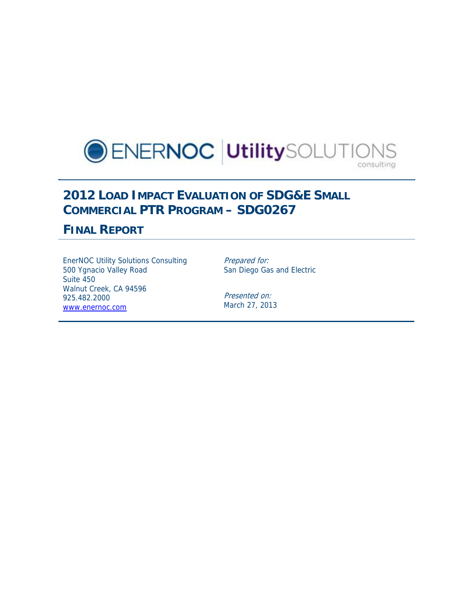

# **2012 LOAD IMPACT EVALUATION OF SDG&E SMALL COMMERCIAL PTR PROGRAM – SDG0267**

## **FINAL REPORT**

EnerNOC Utility Solutions Consulting 500 Ygnacio Valley Road Suite 450 Walnut Creek, CA 94596 925.482.2000 www.enernoc.com

Prepared for: San Diego Gas and Electric

Presented on: March 27, 2013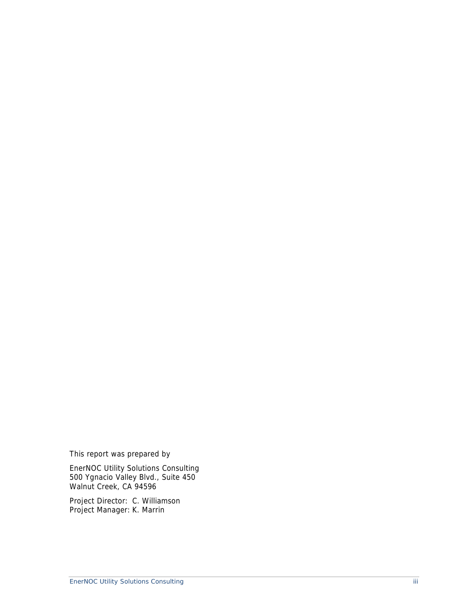This report was prepared by

EnerNOC Utility Solutions Consulting 500 Ygnacio Valley Blvd., Suite 450 Walnut Creek, CA 94596

Project Director: C. Williamson Project Manager: K. Marrin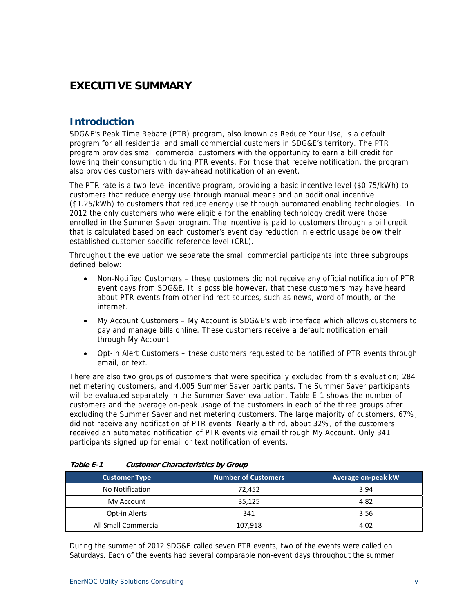# **EXECUTIVE SUMMARY**

## **Introduction**

SDG&E's Peak Time Rebate (PTR) program, also known as Reduce Your Use, is a default program for all residential and small commercial customers in SDG&E's territory. The PTR program provides small commercial customers with the opportunity to earn a bill credit for lowering their consumption during PTR events. For those that receive notification, the program also provides customers with day-ahead notification of an event.

The PTR rate is a two-level incentive program, providing a basic incentive level (\$0.75/kWh) to customers that reduce energy use through manual means and an additional incentive (\$1.25/kWh) to customers that reduce energy use through automated enabling technologies. In 2012 the only customers who were eligible for the enabling technology credit were those enrolled in the Summer Saver program. The incentive is paid to customers through a bill credit that is calculated based on each customer's event day reduction in electric usage below their established customer-specific reference level (CRL).

Throughout the evaluation we separate the small commercial participants into three subgroups defined below:

- Non-Notified Customers these customers did not receive any official notification of PTR event days from SDG&E. It is possible however, that these customers may have heard about PTR events from other indirect sources, such as news, word of mouth, or the internet.
- My Account Customers My Account is SDG&E's web interface which allows customers to pay and manage bills online. These customers receive a default notification email through My Account.
- Opt-in Alert Customers these customers requested to be notified of PTR events through email, or text.

There are also two groups of customers that were specifically excluded from this evaluation; 284 net metering customers, and 4,005 Summer Saver participants. The Summer Saver participants will be evaluated separately in the Summer Saver evaluation. Table E-1 shows the number of customers and the average on-peak usage of the customers in each of the three groups after excluding the Summer Saver and net metering customers. The large majority of customers, 67%, did not receive any notification of PTR events. Nearly a third, about 32%, of the customers received an automated notification of PTR events via email through My Account. Only 341 participants signed up for email or text notification of events.

| $\alpha$             |                            |                    |  |  |
|----------------------|----------------------------|--------------------|--|--|
| <b>Customer Type</b> | <b>Number of Customers</b> | Average on-peak kW |  |  |
| No Notification      | 72,452                     | 3.94               |  |  |
| My Account           | 35,125                     | 4.82               |  |  |
| Opt-in Alerts        | 341                        | 3.56               |  |  |
| All Small Commercial | 107,918                    | 4.02               |  |  |

| Table E-1 | <b>Customer Characteristics by Group</b> |  |
|-----------|------------------------------------------|--|
|           |                                          |  |

During the summer of 2012 SDG&E called seven PTR events, two of the events were called on Saturdays. Each of the events had several comparable non-event days throughout the summer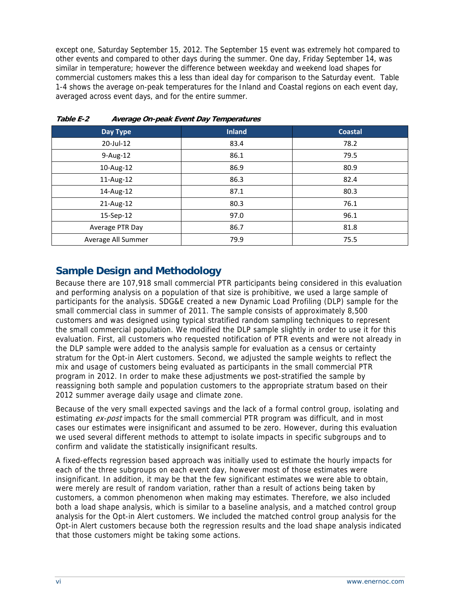except one, Saturday September 15, 2012. The September 15 event was extremely hot compared to other events and compared to other days during the summer. One day, Friday September 14, was similar in temperature; however the difference between weekday and weekend load shapes for commercial customers makes this a less than ideal day for comparison to the Saturday event. Table 1-4 shows the average on-peak temperatures for the Inland and Coastal regions on each event day, averaged across event days, and for the entire summer.

| Day Type           | <b>Inland</b> | <b>Coastal</b> |
|--------------------|---------------|----------------|
| 20-Jul-12          | 83.4          | 78.2           |
| 9-Aug-12           | 86.1          | 79.5           |
| 10-Aug-12          | 86.9          | 80.9           |
| 11-Aug-12          | 86.3          | 82.4           |
| 14-Aug-12          | 87.1          | 80.3           |
| 21-Aug-12          | 80.3          | 76.1           |
| 15-Sep-12          | 97.0          | 96.1           |
| Average PTR Day    | 86.7          | 81.8           |
| Average All Summer | 79.9          | 75.5           |

**Table E-2 Average On-peak Event Day Temperatures** 

## **Sample Design and Methodology**

Because there are 107,918 small commercial PTR participants being considered in this evaluation and performing analysis on a population of that size is prohibitive, we used a large sample of participants for the analysis. SDG&E created a new Dynamic Load Profiling (DLP) sample for the small commercial class in summer of 2011. The sample consists of approximately 8,500 customers and was designed using typical stratified random sampling techniques to represent the small commercial population. We modified the DLP sample slightly in order to use it for this evaluation. First, all customers who requested notification of PTR events and were not already in the DLP sample were added to the analysis sample for evaluation as a census or certainty stratum for the Opt-in Alert customers. Second, we adjusted the sample weights to reflect the mix and usage of customers being evaluated as participants in the small commercial PTR program in 2012. In order to make these adjustments we post-stratified the sample by reassigning both sample and population customers to the appropriate stratum based on their 2012 summer average daily usage and climate zone.

Because of the very small expected savings and the lack of a formal control group, isolating and estimating ex-post impacts for the small commercial PTR program was difficult, and in most cases our estimates were insignificant and assumed to be zero. However, during this evaluation we used several different methods to attempt to isolate impacts in specific subgroups and to confirm and validate the statistically insignificant results.

A fixed-effects regression based approach was initially used to estimate the hourly impacts for each of the three subgroups on each event day, however most of those estimates were insignificant. In addition, it may be that the few significant estimates we were able to obtain, were merely are result of random variation, rather than a result of actions being taken by customers, a common phenomenon when making may estimates. Therefore, we also included both a load shape analysis, which is similar to a baseline analysis, and a matched control group analysis for the Opt-in Alert customers. We included the matched control group analysis for the Opt-in Alert customers because both the regression results and the load shape analysis indicated that those customers might be taking some actions.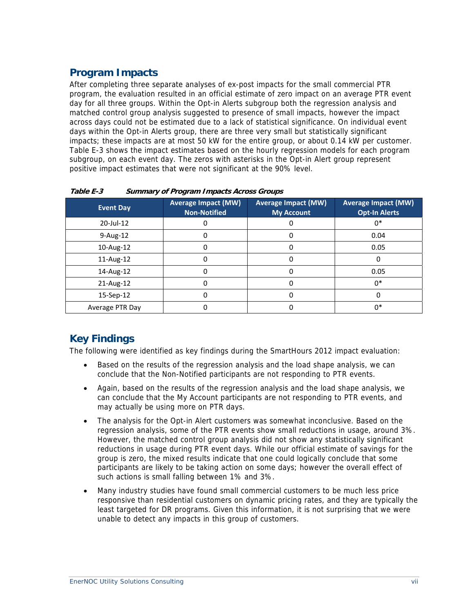## **Program Impacts**

After completing three separate analyses of ex-post impacts for the small commercial PTR program, the evaluation resulted in an official estimate of zero impact on an average PTR event day for all three groups. Within the Opt-in Alerts subgroup both the regression analysis and matched control group analysis suggested to presence of small impacts, however the impact across days could not be estimated due to a lack of statistical significance. On individual event days within the Opt-in Alerts group, there are three very small but statistically significant impacts; these impacts are at most 50 kW for the entire group, or about 0.14 kW per customer. Table E-3 shows the impact estimates based on the hourly regression models for each program subgroup, on each event day. The zeros with asterisks in the Opt-in Alert group represent positive impact estimates that were not significant at the 90% level.

| <b>Event Day</b> | <b>Average Impact (MW)</b><br><b>Non-Notified</b> | <b>Average Impact (MW)</b><br><b>My Account</b> | <b>Average Impact (MW)</b><br><b>Opt-In Alerts</b> |
|------------------|---------------------------------------------------|-------------------------------------------------|----------------------------------------------------|
| $20$ -Jul-12     |                                                   |                                                 | $0*$                                               |
| $9-Aug-12$       |                                                   |                                                 | 0.04                                               |
| 10-Aug-12        |                                                   |                                                 | 0.05                                               |
| 11-Aug-12        |                                                   |                                                 | 0                                                  |
| 14-Aug-12        |                                                   |                                                 | 0.05                                               |
| 21-Aug-12        |                                                   |                                                 | $0*$                                               |
| 15-Sep-12        |                                                   |                                                 | 0                                                  |
| Average PTR Day  |                                                   |                                                 | $0*$                                               |

**Table E-3 Summary of Program Impacts Across Groups** 

## **Key Findings**

The following were identified as key findings during the SmartHours 2012 impact evaluation:

- Based on the results of the regression analysis and the load shape analysis, we can conclude that the Non-Notified participants are not responding to PTR events.
- Again, based on the results of the regression analysis and the load shape analysis, we can conclude that the My Account participants are not responding to PTR events, and may actually be using more on PTR days.
- The analysis for the Opt-in Alert customers was somewhat inconclusive. Based on the regression analysis, some of the PTR events show small reductions in usage, around 3%. However, the matched control group analysis did not show any statistically significant reductions in usage during PTR event days. While our official estimate of savings for the group is zero, the mixed results indicate that one could logically conclude that some participants are likely to be taking action on some days; however the overall effect of such actions is small falling between 1% and 3%.
- Many industry studies have found small commercial customers to be much less price responsive than residential customers on dynamic pricing rates, and they are typically the least targeted for DR programs. Given this information, it is not surprising that we were unable to detect any impacts in this group of customers.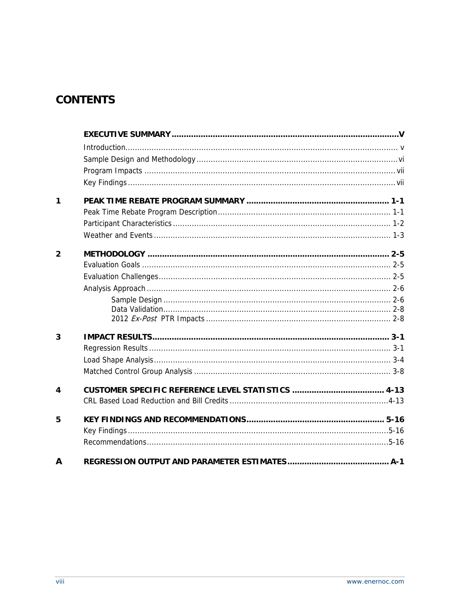# **CONTENTS**

| $\mathbf 1$    |  |
|----------------|--|
|                |  |
|                |  |
|                |  |
| $\overline{2}$ |  |
|                |  |
|                |  |
|                |  |
|                |  |
|                |  |
|                |  |
| 3              |  |
|                |  |
|                |  |
|                |  |
| 4              |  |
|                |  |
| 5              |  |
|                |  |
|                |  |
| A              |  |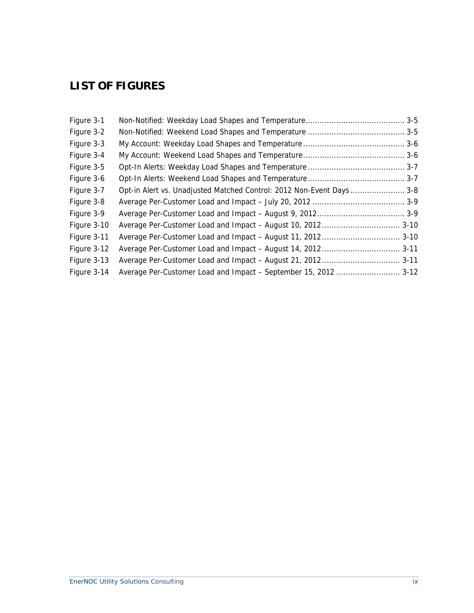# **LIST OF FIGURES**

| Opt-in Alert vs. Unadjusted Matched Control: 2012 Non-Event Days  3-8<br>Average Per-Customer Load and Impact - September 15, 2012  3-12 |
|------------------------------------------------------------------------------------------------------------------------------------------|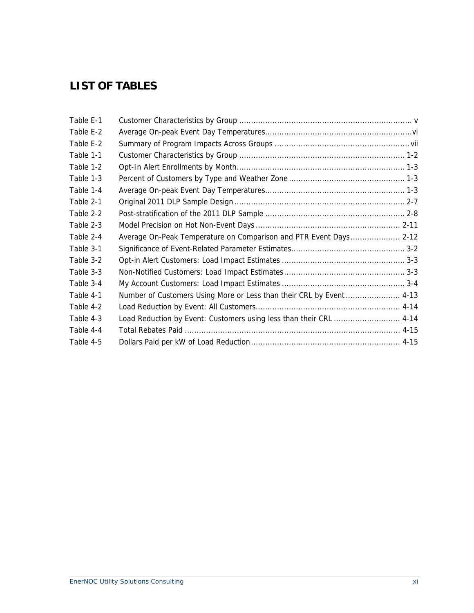# **LIST OF TABLES**

| Table E-1 |                                                                      |  |
|-----------|----------------------------------------------------------------------|--|
| Table E-2 |                                                                      |  |
| Table E-2 |                                                                      |  |
| Table 1-1 |                                                                      |  |
| Table 1-2 |                                                                      |  |
| Table 1-3 |                                                                      |  |
| Table 1-4 |                                                                      |  |
| Table 2-1 |                                                                      |  |
| Table 2-2 |                                                                      |  |
| Table 2-3 |                                                                      |  |
| Table 2-4 | Average On-Peak Temperature on Comparison and PTR Event Days 2-12    |  |
| Table 3-1 |                                                                      |  |
| Table 3-2 |                                                                      |  |
| Table 3-3 |                                                                      |  |
| Table 3-4 |                                                                      |  |
| Table 4-1 | Number of Customers Using More or Less than their CRL by Event  4-13 |  |
| Table 4-2 |                                                                      |  |
| Table 4-3 | Load Reduction by Event: Customers using less than their CRL  4-14   |  |
| Table 4-4 |                                                                      |  |
| Table 4-5 |                                                                      |  |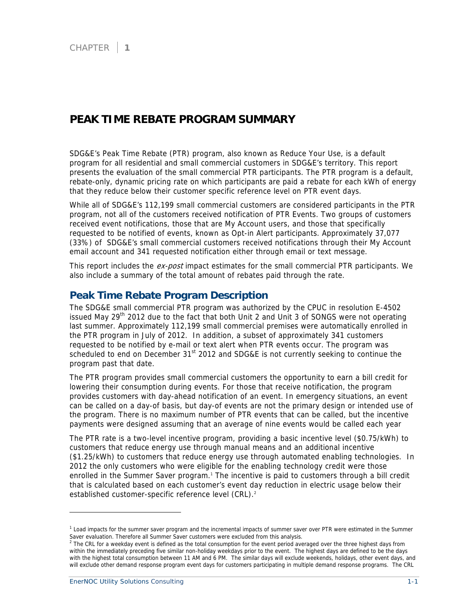## **PEAK TIME REBATE PROGRAM SUMMARY**

SDG&E's Peak Time Rebate (PTR) program, also known as Reduce Your Use, is a default program for all residential and small commercial customers in SDG&E's territory. This report presents the evaluation of the small commercial PTR participants. The PTR program is a default, rebate-only, dynamic pricing rate on which participants are paid a rebate for each kWh of energy that they reduce below their customer specific reference level on PTR event days.

While all of SDG&E's 112,199 small commercial customers are considered participants in the PTR program, not all of the customers received notification of PTR Events. Two groups of customers received event notifications, those that are My Account users, and those that specifically requested to be notified of events, known as Opt-in Alert participants. Approximately 37,077 (33%) of SDG&E's small commercial customers received notifications through their My Account email account and 341 requested notification either through email or text message.

This report includes the ex-post impact estimates for the small commercial PTR participants. We also include a summary of the total amount of rebates paid through the rate.

### **Peak Time Rebate Program Description**

The SDG&E small commercial PTR program was authorized by the CPUC in resolution E-4502 issued May 29<sup>th</sup> 2012 due to the fact that both Unit 2 and Unit 3 of SONGS were not operating last summer. Approximately 112,199 small commercial premises were automatically enrolled in the PTR program in July of 2012. In addition, a subset of approximately 341 customers requested to be notified by e-mail or text alert when PTR events occur. The program was scheduled to end on December  $31<sup>st</sup>$  2012 and SDG&E is not currently seeking to continue the program past that date.

The PTR program provides small commercial customers the opportunity to earn a bill credit for lowering their consumption during events. For those that receive notification, the program provides customers with day-ahead notification of an event. In emergency situations, an event can be called on a day-of basis, but day-of events are not the primary design or intended use of the program. There is no maximum number of PTR events that can be called, but the incentive payments were designed assuming that an average of nine events would be called each year

The PTR rate is a two-level incentive program, providing a basic incentive level (\$0.75/kWh) to customers that reduce energy use through manual means and an additional incentive (\$1.25/kWh) to customers that reduce energy use through automated enabling technologies. In 2012 the only customers who were eligible for the enabling technology credit were those enrolled in the Summer Saver program.<sup>1</sup> The incentive is paid to customers through a bill credit that is calculated based on each customer's event day reduction in electric usage below their established customer-specific reference level (CRL).<sup>2</sup>

-

<sup>&</sup>lt;sup>1</sup> Load impacts for the summer saver program and the incremental impacts of summer saver over PTR were estimated in the Summer

Saver evaluation. Therefore all Summer Saver customers were excluded from this analysis.<br><sup>2</sup> The CRL for a weekday event is defined as the total consumption for the event period averaged over the three highest days from within the immediately preceding five similar non-holiday weekdays prior to the event. The highest days are defined to be the days with the highest total consumption between 11 AM and 6 PM. The similar days will exclude weekends, holidays, other event days, and will exclude other demand response program event days for customers participating in multiple demand response programs. The CRL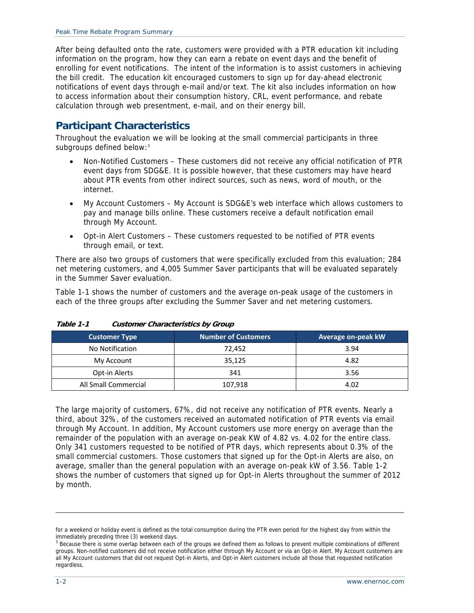After being defaulted onto the rate, customers were provided with a PTR education kit including information on the program, how they can earn a rebate on event days and the benefit of enrolling for event notifications. The intent of the information is to assist customers in achieving the bill credit. The education kit encouraged customers to sign up for day-ahead electronic notifications of event days through e-mail and/or text. The kit also includes information on how to access information about their consumption history, CRL, event performance, and rebate calculation through web presentment, e-mail, and on their energy bill.

## **Participant Characteristics**

Throughout the evaluation we will be looking at the small commercial participants in three subgroups defined below:<sup>3</sup>

- Non-Notified Customers These customers did not receive any official notification of PTR event days from SDG&E. It is possible however, that these customers may have heard about PTR events from other indirect sources, such as news, word of mouth, or the internet.
- My Account Customers My Account is SDG&E's web interface which allows customers to pay and manage bills online. These customers receive a default notification email through My Account.
- Opt-in Alert Customers These customers requested to be notified of PTR events through email, or text.

There are also two groups of customers that were specifically excluded from this evaluation; 284 net metering customers, and 4,005 Summer Saver participants that will be evaluated separately in the Summer Saver evaluation.

Table 1-1 shows the number of customers and the average on-peak usage of the customers in each of the three groups after excluding the Summer Saver and net metering customers.

| <b>Customer Type</b> | <b>Number of Customers</b> | Average on-peak kW |
|----------------------|----------------------------|--------------------|
| No Notification      | 72.452                     | 3.94               |
| My Account           | 35,125                     | 4.82               |
| Opt-in Alerts        | 341                        | 3.56               |
| All Small Commercial | 107,918                    | 4.02               |

**Table 1-1 Customer Characteristics by Group** 

The large majority of customers, 67%, did not receive any notification of PTR events. Nearly a third, about 32%, of the customers received an automated notification of PTR events via email through My Account. In addition, My Account customers use more energy on average than the remainder of the population with an average on-peak KW of 4.82 vs. 4.02 for the entire class. Only 341 customers requested to be notified of PTR days, which represents about 0.3% of the small commercial customers. Those customers that signed up for the Opt-in Alerts are also, on average, smaller than the general population with an average on-peak kW of 3.56. Table 1-2 shows the number of customers that signed up for Opt-in Alerts throughout the summer of 2012 by month.

-

for a weekend or holiday event is defined as the total consumption during the PTR even period for the highest day from within the immediately preceding three (3) weekend days.

<sup>&</sup>lt;sup>3</sup> Because there is some overlap between each of the groups we defined them as follows to prevent multiple combinations of different groups. Non-notified customers did not receive notification either through My Account or via an Opt-in Alert. My Account customers are all My Account customers that did not request Opt-in Alerts, and Opt-in Alert customers include all those that requested notification regardless.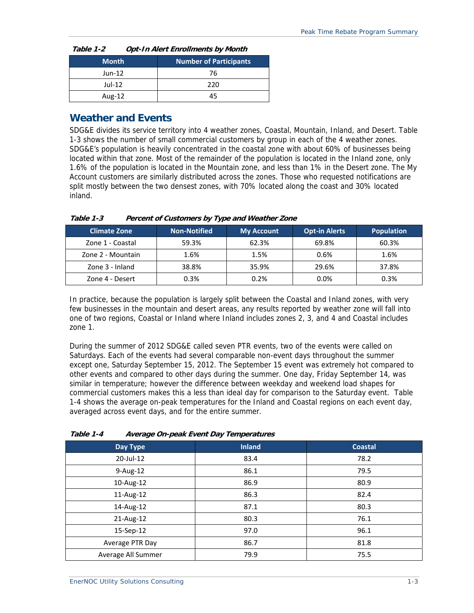| Table 1-2<br><b>Opt-In Alert Enrollments by Month</b> |  |                               |  |
|-------------------------------------------------------|--|-------------------------------|--|
| <b>Month</b>                                          |  | <b>Number of Participants</b> |  |
| Jun-12                                                |  | 76                            |  |
| Jul-12                                                |  | 220                           |  |
| Aug-12                                                |  | 45                            |  |

## **Weather and Events**

SDG&E divides its service territory into 4 weather zones, Coastal, Mountain, Inland, and Desert. Table 1-3 shows the number of small commercial customers by group in each of the 4 weather zones. SDG&E's population is heavily concentrated in the coastal zone with about 60% of businesses being located within that zone. Most of the remainder of the population is located in the Inland zone, only 1.6% of the population is located in the Mountain zone, and less than 1% in the Desert zone. The My Account customers are similarly distributed across the zones. Those who requested notifications are split mostly between the two densest zones, with 70% located along the coast and 30% located inland.

| <b>Climate Zone</b> | Non-Notified | <b>My Account</b> | <b>Opt-in Alerts</b> | <b>Population</b> |
|---------------------|--------------|-------------------|----------------------|-------------------|
| Zone 1 - Coastal    | 59.3%        | 62.3%             | 69.8%                | 60.3%             |
| Zone 2 - Mountain   | 1.6%         | 1.5%              | 0.6%                 | 1.6%              |
| Zone 3 - Inland     | 38.8%        | 35.9%             | 29.6%                | 37.8%             |
| Zone 4 - Desert     | 0.3%         | 0.2%              | 0.0%                 | 0.3%              |

**Table 1-3 Percent of Customers by Type and Weather Zone** 

In practice, because the population is largely split between the Coastal and Inland zones, with very few businesses in the mountain and desert areas, any results reported by weather zone will fall into one of two regions, Coastal or Inland where Inland includes zones 2, 3, and 4 and Coastal includes zone 1.

During the summer of 2012 SDG&E called seven PTR events, two of the events were called on Saturdays. Each of the events had several comparable non-event days throughout the summer except one, Saturday September 15, 2012. The September 15 event was extremely hot compared to other events and compared to other days during the summer. One day, Friday September 14, was similar in temperature; however the difference between weekday and weekend load shapes for commercial customers makes this a less than ideal day for comparison to the Saturday event. Table 1-4 shows the average on-peak temperatures for the Inland and Coastal regions on each event day, averaged across event days, and for the entire summer.

| Day Type           | <b>Inland</b> | <b>Coastal</b> |
|--------------------|---------------|----------------|
| 20-Jul-12          | 83.4          | 78.2           |
| 9-Aug-12           | 86.1          | 79.5           |
| 10-Aug-12          | 86.9          | 80.9           |
| 11-Aug-12          | 86.3          | 82.4           |
| 14-Aug-12          | 87.1          | 80.3           |
| 21-Aug-12          | 80.3          | 76.1           |
| 15-Sep-12          | 97.0          | 96.1           |
| Average PTR Day    | 86.7          | 81.8           |
| Average All Summer | 79.9          | 75.5           |

**Table 1-4 Average On-peak Event Day Temperatures**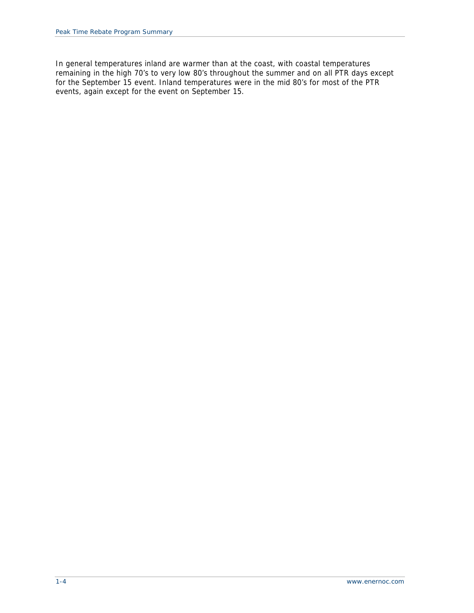In general temperatures inland are warmer than at the coast, with coastal temperatures remaining in the high 70's to very low 80's throughout the summer and on all PTR days except for the September 15 event. Inland temperatures were in the mid 80's for most of the PTR events, again except for the event on September 15.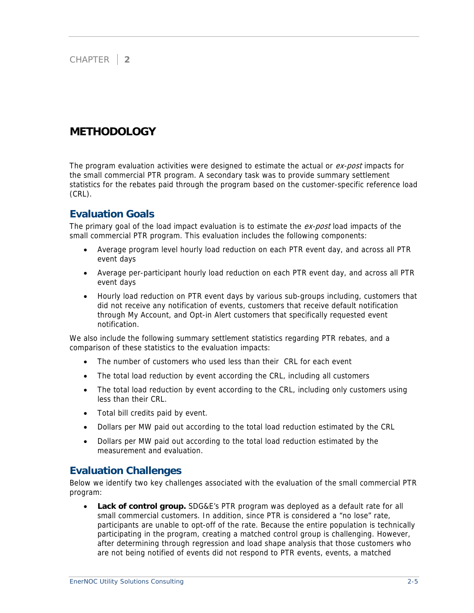### CHAPTER **2**

# **METHODOLOGY**

The program evaluation activities were designed to estimate the actual or ex-post impacts for the small commercial PTR program. A secondary task was to provide summary settlement statistics for the rebates paid through the program based on the customer-specific reference load (CRL).

### **Evaluation Goals**

The primary goal of the load impact evaluation is to estimate the ex-post load impacts of the small commercial PTR program. This evaluation includes the following components:

- Average program level hourly load reduction on each PTR event day, and across all PTR event days
- Average per-participant hourly load reduction on each PTR event day, and across all PTR event days
- Hourly load reduction on PTR event days by various sub-groups including, customers that did not receive any notification of events, customers that receive default notification through My Account, and Opt-in Alert customers that specifically requested event notification.

We also include the following summary settlement statistics regarding PTR rebates, and a comparison of these statistics to the evaluation impacts:

- The number of customers who used less than their CRL for each event
- The total load reduction by event according the CRL, including all customers
- The total load reduction by event according to the CRL, including only customers using less than their CRL.
- Total bill credits paid by event.
- Dollars per MW paid out according to the total load reduction estimated by the CRL
- Dollars per MW paid out according to the total load reduction estimated by the measurement and evaluation.

### **Evaluation Challenges**

Below we identify two key challenges associated with the evaluation of the small commercial PTR program:

**Lack of control group.** SDG&E's PTR program was deployed as a default rate for all small commercial customers. In addition, since PTR is considered a "no lose" rate, participants are unable to opt-off of the rate. Because the entire population is technically participating in the program, creating a matched control group is challenging. However, after determining through regression and load shape analysis that those customers who are not being notified of events did not respond to PTR events, events, a matched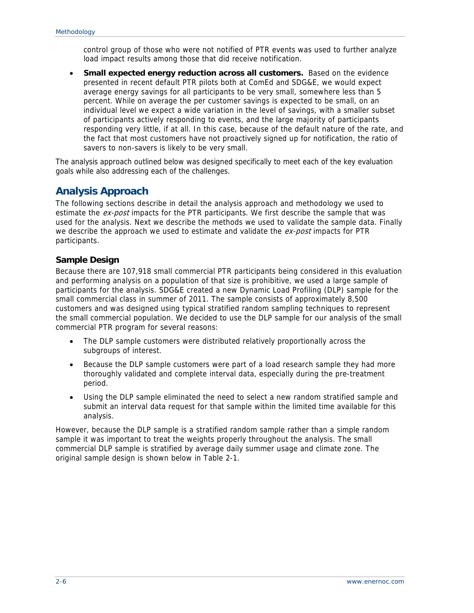control group of those who were not notified of PTR events was used to further analyze load impact results among those that did receive notification.

• **Small expected energy reduction across all customers.** Based on the evidence presented in recent default PTR pilots both at ComEd and SDG&E, we would expect average energy savings for all participants to be very small, somewhere less than 5 percent. While on average the per customer savings is expected to be small, on an individual level we expect a wide variation in the level of savings, with a smaller subset of participants actively responding to events, and the large majority of participants responding very little, if at all. In this case, because of the default nature of the rate, and the fact that most customers have not proactively signed up for notification, the ratio of savers to non-savers is likely to be very small.

The analysis approach outlined below was designed specifically to meet each of the key evaluation goals while also addressing each of the challenges.

## **Analysis Approach**

The following sections describe in detail the analysis approach and methodology we used to estimate the ex-post impacts for the PTR participants. We first describe the sample that was used for the analysis. Next we describe the methods we used to validate the sample data. Finally we describe the approach we used to estimate and validate the  $ex$ -post impacts for PTR participants.

### **Sample Design**

Because there are 107,918 small commercial PTR participants being considered in this evaluation and performing analysis on a population of that size is prohibitive, we used a large sample of participants for the analysis. SDG&E created a new Dynamic Load Profiling (DLP) sample for the small commercial class in summer of 2011. The sample consists of approximately 8,500 customers and was designed using typical stratified random sampling techniques to represent the small commercial population. We decided to use the DLP sample for our analysis of the small commercial PTR program for several reasons:

- The DLP sample customers were distributed relatively proportionally across the subgroups of interest.
- Because the DLP sample customers were part of a load research sample they had more thoroughly validated and complete interval data, especially during the pre-treatment period.
- Using the DLP sample eliminated the need to select a new random stratified sample and submit an interval data request for that sample within the limited time available for this analysis.

However, because the DLP sample is a stratified random sample rather than a simple random sample it was important to treat the weights properly throughout the analysis. The small commercial DLP sample is stratified by average daily summer usage and climate zone. The original sample design is shown below in Table 2-1.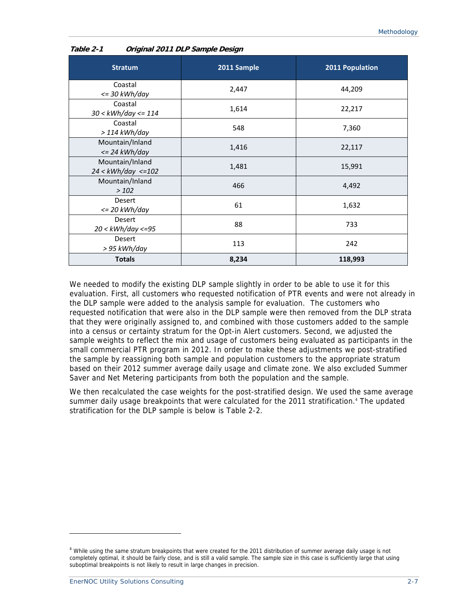| <b>Stratum</b>                             | 2011 Sample | 2011 Population |
|--------------------------------------------|-------------|-----------------|
| Coastal<br>$\epsilon$ = 30 kWh/day         | 2,447       | 44,209          |
| Coastal<br>$30 < kWh/day < = 114$          | 1,614       | 22,217          |
| Coastal<br>$>$ 114 kWh/day                 | 548         | 7,360           |
| Mountain/Inland<br>$\epsilon$ = 24 kWh/day | 1,416       | 22,117          |
| Mountain/Inland<br>$24 < kWh/day < = 102$  | 1,481       | 15,991          |
| Mountain/Inland<br>>102                    | 466         | 4,492           |
| Desert<br>$\epsilon$ = 20 kWh/day          | 61          | 1,632           |
| Desert<br>$20 < kWh/day < = 95$            | 88          | 733             |
| Desert<br>> 95 kWh/day                     | 113         | 242             |
| <b>Totals</b>                              | 8,234       | 118,993         |

#### **Table 2-1 Original 2011 DLP Sample Design**

We needed to modify the existing DLP sample slightly in order to be able to use it for this evaluation. First, all customers who requested notification of PTR events and were not already in the DLP sample were added to the analysis sample for evaluation. The customers who requested notification that were also in the DLP sample were then removed from the DLP strata that they were originally assigned to, and combined with those customers added to the sample into a census or certainty stratum for the Opt-in Alert customers. Second, we adjusted the sample weights to reflect the mix and usage of customers being evaluated as participants in the small commercial PTR program in 2012. In order to make these adjustments we post-stratified the sample by reassigning both sample and population customers to the appropriate stratum based on their 2012 summer average daily usage and climate zone. We also excluded Summer Saver and Net Metering participants from both the population and the sample.

We then recalculated the case weights for the post-stratified design. We used the same average summer daily usage breakpoints that were calculated for the 2011 stratification.<sup>4</sup> The updated stratification for the DLP sample is below is Table 2-2.

-

<sup>&</sup>lt;sup>4</sup> While using the same stratum breakpoints that were created for the 2011 distribution of summer average daily usage is not completely optimal, it should be fairly close, and is still a valid sample. The sample size in this case is sufficiently large that using suboptimal breakpoints is not likely to result in large changes in precision.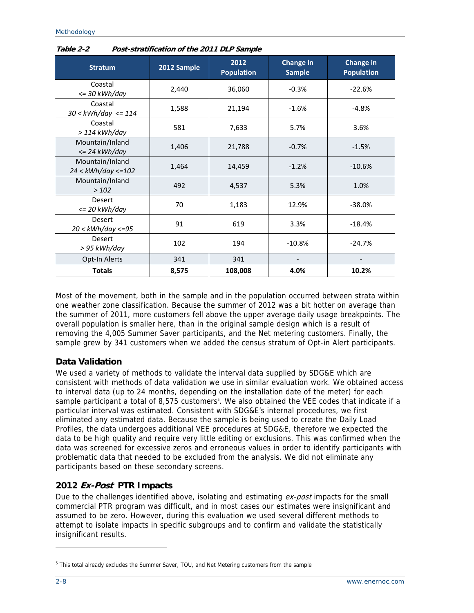| <b>Stratum</b>                             | 2012 Sample | 2012<br><b>Population</b> | Change in<br><b>Sample</b> | <b>Change in</b><br><b>Population</b> |
|--------------------------------------------|-------------|---------------------------|----------------------------|---------------------------------------|
| Coastal<br>$\epsilon$ = 30 kWh/day         | 2,440       | 36,060                    | $-0.3%$                    | $-22.6%$                              |
| Coastal<br>$30 < kWh/day < = 114$          | 1,588       | 21,194                    | $-1.6%$                    | $-4.8%$                               |
| Coastal<br>$>$ 114 kWh/day                 | 581         | 7,633                     | 5.7%                       | 3.6%                                  |
| Mountain/Inland<br>$\epsilon$ = 24 kWh/day | 1,406       | 21,788                    | $-0.7%$                    | $-1.5%$                               |
| Mountain/Inland<br>$24 < kWh/day < = 102$  | 1,464       | 14,459                    | $-1.2%$                    | $-10.6%$                              |
| Mountain/Inland<br>>102                    | 492         | 4,537                     | 5.3%                       | 1.0%                                  |
| <b>Desert</b><br><= 20 kWh/day             | 70          | 1,183                     | 12.9%                      | $-38.0%$                              |
| Desert<br>20 < kWh/day <=95                | 91          | 619                       | 3.3%                       | $-18.4%$                              |
| Desert<br>> 95 kWh/day                     | 102         | 194                       | $-10.8%$                   | $-24.7%$                              |
| Opt-In Alerts                              | 341         | 341                       |                            |                                       |
| <b>Totals</b>                              | 8,575       | 108,008                   | 4.0%                       | 10.2%                                 |

**Table 2-2 Post-stratification of the 2011 DLP Sample** 

Most of the movement, both in the sample and in the population occurred between strata within one weather zone classification. Because the summer of 2012 was a bit hotter on average than the summer of 2011, more customers fell above the upper average daily usage breakpoints. The overall population is smaller here, than in the original sample design which is a result of removing the 4,005 Summer Saver participants, and the Net metering customers. Finally, the sample grew by 341 customers when we added the census stratum of Opt-in Alert participants.

### **Data Validation**

We used a variety of methods to validate the interval data supplied by SDG&E which are consistent with methods of data validation we use in similar evaluation work. We obtained access to interval data (up to 24 months, depending on the installation date of the meter) for each sample participant a total of 8,575 customers<sup>5</sup>. We also obtained the VEE codes that indicate if a particular interval was estimated. Consistent with SDG&E's internal procedures, we first eliminated any estimated data. Because the sample is being used to create the Daily Load Profiles, the data undergoes additional VEE procedures at SDG&E, therefore we expected the data to be high quality and require very little editing or exclusions. This was confirmed when the data was screened for excessive zeros and erroneous values in order to identify participants with problematic data that needed to be excluded from the analysis. We did not eliminate any participants based on these secondary screens.

### **2012 Ex-Post PTR Impacts**

Due to the challenges identified above, isolating and estimating ex-post impacts for the small commercial PTR program was difficult, and in most cases our estimates were insignificant and assumed to be zero. However, during this evaluation we used several different methods to attempt to isolate impacts in specific subgroups and to confirm and validate the statistically insignificant results.

-

<sup>&</sup>lt;sup>5</sup> This total already excludes the Summer Saver, TOU, and Net Metering customers from the sample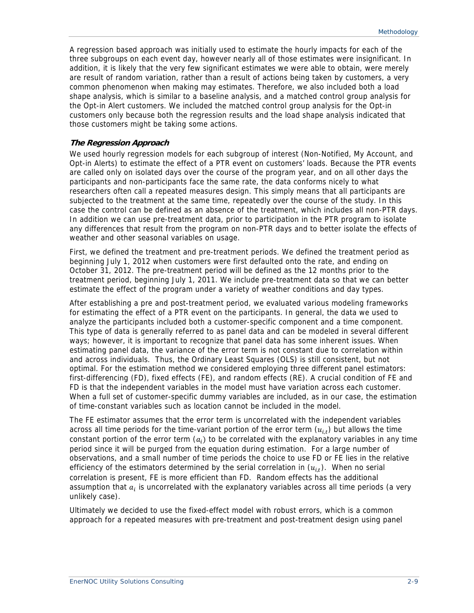A regression based approach was initially used to estimate the hourly impacts for each of the three subgroups on each event day, however nearly all of those estimates were insignificant. In addition, it is likely that the very few significant estimates we were able to obtain, were merely are result of random variation, rather than a result of actions being taken by customers, a very common phenomenon when making may estimates. Therefore, we also included both a load shape analysis, which is similar to a baseline analysis, and a matched control group analysis for the Opt-in Alert customers. We included the matched control group analysis for the Opt-in customers only because both the regression results and the load shape analysis indicated that those customers might be taking some actions.

#### **The Regression Approach**

We used hourly regression models for each subgroup of interest (Non-Notified, My Account, and Opt-in Alerts) to estimate the effect of a PTR event on customers' loads. Because the PTR events are called only on isolated days over the course of the program year, and on all other days the participants and non-participants face the same rate, the data conforms nicely to what researchers often call a repeated measures design. This simply means that all participants are subjected to the treatment at the same time, repeatedly over the course of the study. In this case the control can be defined as an absence of the treatment, which includes all non-PTR days. In addition we can use pre-treatment data, prior to participation in the PTR program to isolate any differences that result from the program on non-PTR days and to better isolate the effects of weather and other seasonal variables on usage.

First, we defined the treatment and pre-treatment periods. We defined the treatment period as beginning July 1, 2012 when customers were first defaulted onto the rate, and ending on October 31, 2012. The pre-treatment period will be defined as the 12 months prior to the treatment period, beginning July 1, 2011. We include pre-treatment data so that we can better estimate the effect of the program under a variety of weather conditions and day types.

After establishing a pre and post-treatment period, we evaluated various modeling frameworks for estimating the effect of a PTR event on the participants. In general, the data we used to analyze the participants included both a customer-specific component and a time component. This type of data is generally referred to as panel data and can be modeled in several different ways; however, it is important to recognize that panel data has some inherent issues. When estimating panel data, the variance of the error term is not constant due to correlation within and across individuals. Thus, the Ordinary Least Squares (OLS) is still consistent, but not optimal. For the estimation method we considered employing three different panel estimators: first-differencing (FD), fixed effects (FE), and random effects (RE). A crucial condition of FE and FD is that the independent variables in the model must have variation across each customer. When a full set of customer-specific dummy variables are included, as in our case, the estimation of time-constant variables such as location cannot be included in the model.

The FE estimator assumes that the error term is uncorrelated with the independent variables across all time periods for the time-variant portion of the error term  $(u_{i,t})$  but allows the time constant portion of the error term  $(a_i)$  to be correlated with the explanatory variables in any time period since it will be purged from the equation during estimation. For a large number of observations, and a small number of time periods the choice to use FD or FE lies in the relative efficiency of the estimators determined by the serial correlation in  $(u_{it})$ . When no serial correlation is present, FE is more efficient than FD. Random effects has the additional assumption that  $a_i$  is uncorrelated with the explanatory variables across all time periods (a very unlikely case).

Ultimately we decided to use the fixed-effect model with robust errors, which is a common approach for a repeated measures with pre-treatment and post-treatment design using panel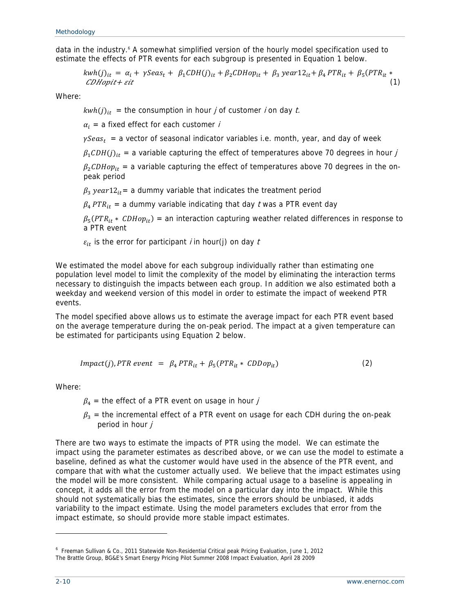data in the industry.<sup>6</sup> A somewhat simplified version of the hourly model specification used to estimate the effects of PTR events for each subgroup is presented in Equation 1 below.

$$
kwh(j)_{it} = \alpha_i + \gamma Seas_t + \beta_1 CDH(j)_{it} + \beta_2 CDHop_{it} + \beta_3 year12_{it} + \beta_4 PTR_{it} + \beta_5 (PTR_{it} * CDHopit + sit
$$
\n(1)

Where:

 $kwh(j)_{it}$  = the consumption in hour *j* of customer *i* on day *t*.

 $\alpha_i$  = a fixed effect for each customer *i* 

 $\gamma Sea_{st}$  = a vector of seasonal indicator variables i.e. month, year, and day of week

 $\beta_1 CDH(j)_{it}$  = a variable capturing the effect of temperatures above 70 degrees in hour j

 $\beta_2$ CDHo $p_{it}$  = a variable capturing the effect of temperatures above 70 degrees in the onpeak period

 $\beta_3$  year12<sub>it</sub> = a dummy variable that indicates the treatment period

 $\beta_4$  PTR<sub>it</sub> = a dummy variable indicating that day t was a PTR event day

 $\beta_5(PTR_{it} * CDHop_{it})$  = an interaction capturing weather related differences in response to a PTR event

 $\varepsilon_{it}$  is the error for participant *i* in hour(j) on day *t* 

We estimated the model above for each subgroup individually rather than estimating one population level model to limit the complexity of the model by eliminating the interaction terms necessary to distinguish the impacts between each group. In addition we also estimated both a weekday and weekend version of this model in order to estimate the impact of weekend PTR events.

The model specified above allows us to estimate the average impact for each PTR event based on the average temperature during the on-peak period. The impact at a given temperature can be estimated for participants using Equation 2 below.

$$
Impact(j), PTR event = \beta_4 PTR_{it} + \beta_5 (PTR_{it} * CDDop_{it})
$$
\n(2)

Where:

 $\beta_4$  = the effect of a PTR event on usage in hour j

 $\beta_3$  = the incremental effect of a PTR event on usage for each CDH during the on-peak period in hour *j* 

There are two ways to estimate the impacts of PTR using the model. We can estimate the impact using the parameter estimates as described above, or we can use the model to estimate a baseline, defined as what the customer would have used in the absence of the PTR event, and compare that with what the customer actually used. We believe that the impact estimates using the model will be more consistent. While comparing actual usage to a baseline is appealing in concept, it adds all the error from the model on a particular day into the impact. While this should not systematically bias the estimates, since the errors should be unbiased, it adds variability to the impact estimate. Using the model parameters excludes that error from the impact estimate, so should provide more stable impact estimates.

-

<sup>&</sup>lt;sup>6</sup> Freeman Sullivan & Co., 2011 Statewide Non-Residential Critical peak Pricing Evaluation, June 1, 2012 The Brattle Group, BG&E's Smart Energy Pricing Pilot Summer 2008 Impact Evaluation, April 28 2009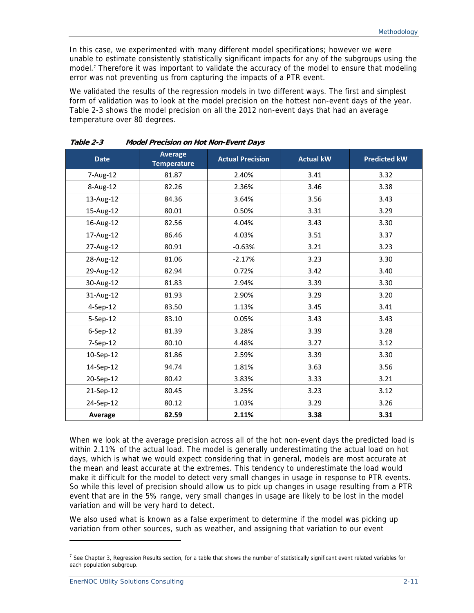In this case, we experimented with many different model specifications; however we were unable to estimate consistently statistically significant impacts for any of the subgroups using the model.<sup>7</sup> Therefore it was important to validate the accuracy of the model to ensure that modeling error was not preventing us from capturing the impacts of a PTR event.

We validated the results of the regression models in two different ways. The first and simplest form of validation was to look at the model precision on the hottest non-event days of the year. Table 2-3 shows the model precision on all the 2012 non-event days that had an average temperature over 80 degrees.

| <b>Date</b>    | <b>Average</b><br><b>Temperature</b> | <b>Actual Precision</b> | <b>Actual kW</b> | <b>Predicted kW</b> |
|----------------|--------------------------------------|-------------------------|------------------|---------------------|
| 7-Aug-12       | 81.87                                | 2.40%                   | 3.41             | 3.32                |
| 8-Aug-12       | 82.26                                | 2.36%                   | 3.46             | 3.38                |
| 13-Aug-12      | 84.36                                | 3.64%                   | 3.56             | 3.43                |
| 15-Aug-12      | 80.01                                | 0.50%                   | 3.31             | 3.29                |
| 16-Aug-12      | 82.56                                | 4.04%                   | 3.43             | 3.30                |
| 17-Aug-12      | 86.46                                | 4.03%                   | 3.51             | 3.37                |
| 27-Aug-12      | 80.91                                | $-0.63%$                | 3.21             | 3.23                |
| 28-Aug-12      | 81.06                                | $-2.17%$                | 3.23             | 3.30                |
| 29-Aug-12      | 82.94                                | 0.72%                   | 3.42             | 3.40                |
| 30-Aug-12      | 81.83                                | 2.94%                   | 3.39             | 3.30                |
| 31-Aug-12      | 81.93                                | 2.90%                   | 3.29             | 3.20                |
| 4-Sep-12       | 83.50                                | 1.13%                   | 3.45             | 3.41                |
| 5-Sep-12       | 83.10                                | 0.05%                   | 3.43             | 3.43                |
| $6-$ Sep $-12$ | 81.39                                | 3.28%                   | 3.39             | 3.28                |
| 7-Sep-12       | 80.10                                | 4.48%                   | 3.27             | 3.12                |
| 10-Sep-12      | 81.86                                | 2.59%                   | 3.39             | 3.30                |
| 14-Sep-12      | 94.74                                | 1.81%                   | 3.63             | 3.56                |
| 20-Sep-12      | 80.42                                | 3.83%                   | 3.33             | 3.21                |
| 21-Sep-12      | 80.45                                | 3.25%                   | 3.23             | 3.12                |
| 24-Sep-12      | 80.12                                | 1.03%                   | 3.29             | 3.26                |
| Average        | 82.59                                | 2.11%                   | 3.38             | 3.31                |

**Table 2-3 Model Precision on Hot Non-Event Days** 

When we look at the average precision across all of the hot non-event days the predicted load is within 2.11% of the actual load. The model is generally underestimating the actual load on hot days, which is what we would expect considering that in general, models are most accurate at the mean and least accurate at the extremes. This tendency to underestimate the load would make it difficult for the model to detect very small changes in usage in response to PTR events. So while this level of precision should allow us to pick up changes in usage resulting from a PTR event that are in the 5% range, very small changes in usage are likely to be lost in the model variation and will be very hard to detect.

We also used what is known as a false experiment to determine if the model was picking up variation from other sources, such as weather, and assigning that variation to our event

-

<sup>&</sup>lt;sup>7</sup> See Chapter 3, Regression Results section, for a table that shows the number of statistically significant event related variables for each population subgroup.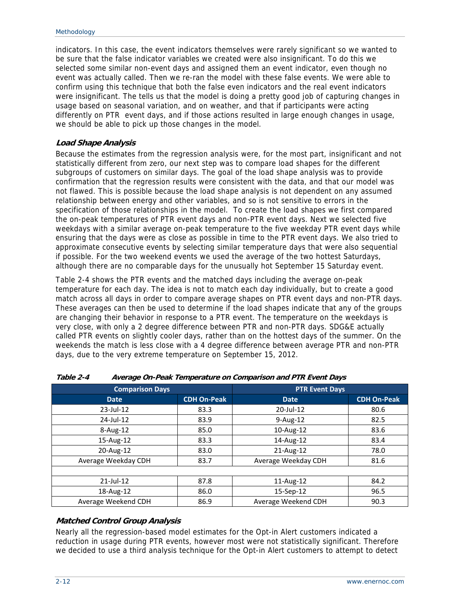indicators. In this case, the event indicators themselves were rarely significant so we wanted to be sure that the false indicator variables we created were also insignificant. To do this we selected some similar non-event days and assigned them an event indicator, even though no event was actually called. Then we re-ran the model with these false events. We were able to confirm using this technique that both the false even indicators and the real event indicators were insignificant. The tells us that the model is doing a pretty good job of capturing changes in usage based on seasonal variation, and on weather, and that if participants were acting differently on PTR event days, and if those actions resulted in large enough changes in usage, we should be able to pick up those changes in the model.

#### **Load Shape Analysis**

Because the estimates from the regression analysis were, for the most part, insignificant and not statistically different from zero, our next step was to compare load shapes for the different subgroups of customers on similar days. The goal of the load shape analysis was to provide confirmation that the regression results were consistent with the data, and that our model was not flawed. This is possible because the load shape analysis is not dependent on any assumed relationship between energy and other variables, and so is not sensitive to errors in the specification of those relationships in the model. To create the load shapes we first compared the on-peak temperatures of PTR event days and non-PTR event days. Next we selected five weekdays with a similar average on-peak temperature to the five weekday PTR event days while ensuring that the days were as close as possible in time to the PTR event days. We also tried to approximate consecutive events by selecting similar temperature days that were also sequential if possible. For the two weekend events we used the average of the two hottest Saturdays, although there are no comparable days for the unusually hot September 15 Saturday event.

Table 2-4 shows the PTR events and the matched days including the average on-peak temperature for each day. The idea is not to match each day individually, but to create a good match across all days in order to compare average shapes on PTR event days and non-PTR days. These averages can then be used to determine if the load shapes indicate that any of the groups are changing their behavior in response to a PTR event. The temperature on the weekdays is very close, with only a 2 degree difference between PTR and non-PTR days. SDG&E actually called PTR events on slightly cooler days, rather than on the hottest days of the summer. On the weekends the match is less close with a 4 degree difference between average PTR and non-PTR days, due to the very extreme temperature on September 15, 2012.

| <b>Comparison Days</b> |                    | <b>PTR Event Days</b> |                    |
|------------------------|--------------------|-----------------------|--------------------|
| <b>Date</b>            | <b>CDH On-Peak</b> | <b>Date</b>           | <b>CDH On-Peak</b> |
| 23-Jul-12              | 83.3               | 20-Jul-12             | 80.6               |
| 24-Jul-12              | 83.9               | $9-Aug-12$            | 82.5               |
| $8-Aug-12$             | 85.0               | 10-Aug-12             | 83.6               |
| 15-Aug-12              | 83.3               | 14-Aug-12             | 83.4               |
| 20-Aug-12              | 83.0               | 21-Aug-12             | 78.0               |
| Average Weekday CDH    | 83.7               | Average Weekday CDH   | 81.6               |
|                        |                    |                       |                    |
| $21$ -Jul-12           | 87.8               | 11-Aug-12             | 84.2               |
| 18-Aug-12              | 86.0               | 15-Sep-12             | 96.5               |
| Average Weekend CDH    | 86.9               | Average Weekend CDH   | 90.3               |

**Table 2-4 Average On-Peak Temperature on Comparison and PTR Event Days** 

### **Matched Control Group Analysis**

Nearly all the regression-based model estimates for the Opt-in Alert customers indicated a reduction in usage during PTR events, however most were not statistically significant. Therefore we decided to use a third analysis technique for the Opt-in Alert customers to attempt to detect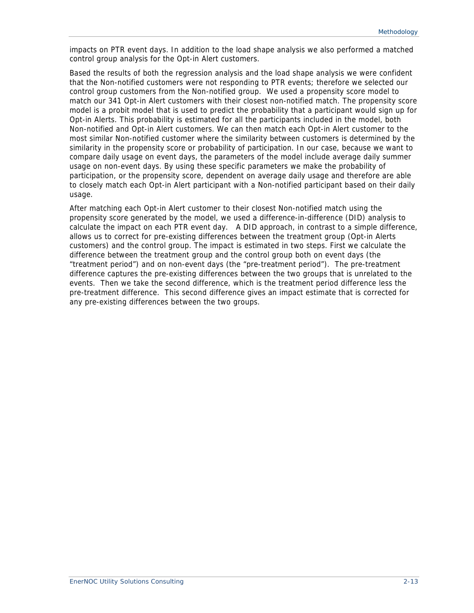impacts on PTR event days. In addition to the load shape analysis we also performed a matched control group analysis for the Opt-in Alert customers.

Based the results of both the regression analysis and the load shape analysis we were confident that the Non-notified customers were not responding to PTR events; therefore we selected our control group customers from the Non-notified group. We used a propensity score model to match our 341 Opt-in Alert customers with their closest non-notified match. The propensity score model is a probit model that is used to predict the probability that a participant would sign up for Opt-in Alerts. This probability is estimated for all the participants included in the model, both Non-notified and Opt-in Alert customers. We can then match each Opt-in Alert customer to the most similar Non-notified customer where the similarity between customers is determined by the similarity in the propensity score or probability of participation. In our case, because we want to compare daily usage on event days, the parameters of the model include average daily summer usage on non-event days. By using these specific parameters we make the probability of participation, or the propensity score, dependent on average daily usage and therefore are able to closely match each Opt-in Alert participant with a Non-notified participant based on their daily usage.

After matching each Opt-in Alert customer to their closest Non-notified match using the propensity score generated by the model, we used a difference-in-difference (DID) analysis to calculate the impact on each PTR event day. A DID approach, in contrast to a simple difference, allows us to correct for pre-existing differences between the treatment group (Opt-in Alerts customers) and the control group. The impact is estimated in two steps. First we calculate the difference between the treatment group and the control group both on event days (the "treatment period") and on non-event days (the "pre-treatment period"). The pre-treatment difference captures the pre-existing differences between the two groups that is unrelated to the events. Then we take the second difference, which is the treatment period difference less the pre-treatment difference. This second difference gives an impact estimate that is corrected for any pre-existing differences between the two groups.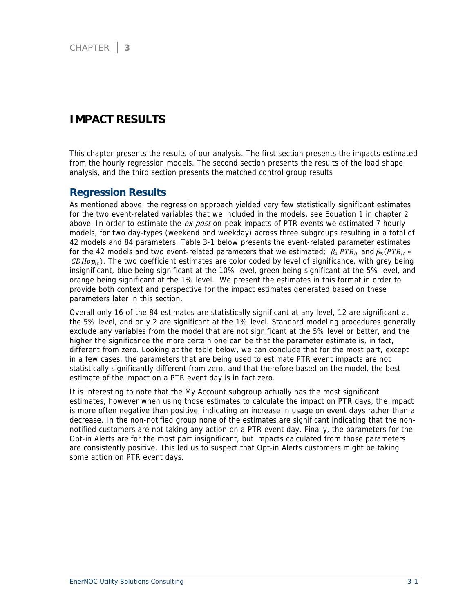## **IMPACT RESULTS**

This chapter presents the results of our analysis. The first section presents the impacts estimated from the hourly regression models. The second section presents the results of the load shape analysis, and the third section presents the matched control group results

### **Regression Results**

As mentioned above, the regression approach yielded very few statistically significant estimates for the two event-related variables that we included in the models, see Equation 1 in chapter 2 above. In order to estimate the ex-post on-peak impacts of PTR events we estimated 7 hourly models, for two day-types (weekend and weekday) across three subgroups resulting in a total of 42 models and 84 parameters. Table 3-1 below presents the event-related parameter estimates for the 42 models and two event-related parameters that we estimated;  $\beta_4$  PTR<sub>it</sub> and  $\beta_5$  (PTR<sub>it</sub> \*  $CDHop_{it}$ ). The two coefficient estimates are color coded by level of significance, with grey being insignificant, blue being significant at the 10% level, green being significant at the 5% level, and orange being significant at the 1% level. We present the estimates in this format in order to provide both context and perspective for the impact estimates generated based on these parameters later in this section.

Overall only 16 of the 84 estimates are statistically significant at any level, 12 are significant at the 5% level, and only 2 are significant at the 1% level. Standard modeling procedures generally exclude any variables from the model that are not significant at the 5% level or better, and the higher the significance the more certain one can be that the parameter estimate is, in fact, different from zero. Looking at the table below, we can conclude that for the most part, except in a few cases, the parameters that are being used to estimate PTR event impacts are not statistically significantly different from zero, and that therefore based on the model, the best estimate of the impact on a PTR event day is in fact zero.

It is interesting to note that the My Account subgroup actually has the most significant estimates, however when using those estimates to calculate the impact on PTR days, the impact is more often negative than positive, indicating an increase in usage on event days rather than a decrease. In the non-notified group none of the estimates are significant indicating that the nonnotified customers are not taking any action on a PTR event day. Finally, the parameters for the Opt-in Alerts are for the most part insignificant, but impacts calculated from those parameters are consistently positive. This led us to suspect that Opt-in Alerts customers might be taking some action on PTR event days.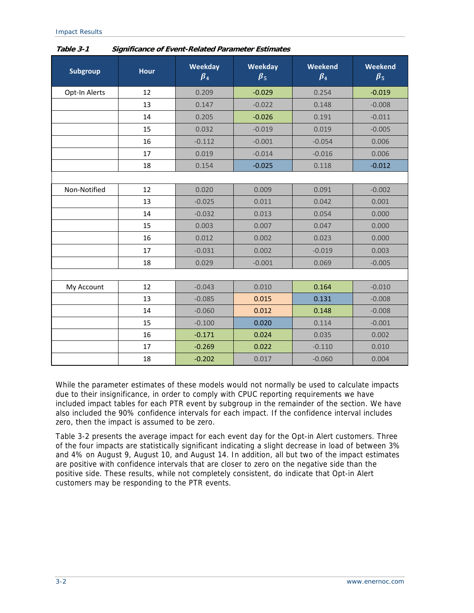| Subgroup      | <b>Hour</b> | Weekday<br>$\beta_4$ | Weekday<br>$\beta_5$ | Weekend<br>$\beta_4$ | Weekend<br>$\beta_5$ |
|---------------|-------------|----------------------|----------------------|----------------------|----------------------|
| Opt-In Alerts | 12          | 0.209                | $-0.029$             | 0.254                | $-0.019$             |
|               | 13          | 0.147                | $-0.022$             | 0.148                | $-0.008$             |
|               | 14          | 0.205                | $-0.026$             | 0.191                | $-0.011$             |
|               | 15          | 0.032                | $-0.019$             | 0.019                | $-0.005$             |
|               | 16          | $-0.112$             | $-0.001$             | $-0.054$             | 0.006                |
|               | 17          | 0.019                | $-0.014$             | $-0.016$             | 0.006                |
|               | 18          | 0.154                | $-0.025$             | 0.118                | $-0.012$             |
|               |             |                      |                      |                      |                      |
| Non-Notified  | 12          | 0.020                | 0.009                | 0.091                | $-0.002$             |
|               | 13          | $-0.025$             | 0.011                | 0.042                | 0.001                |
|               | 14          | $-0.032$             | 0.013                | 0.054                | 0.000                |
|               | 15          | 0.003                | 0.007                | 0.047                | 0.000                |
|               | 16          | 0.012                | 0.002                | 0.023                | 0.000                |
|               | 17          | $-0.031$             | 0.002                | $-0.019$             | 0.003                |
|               | 18          | 0.029                | $-0.001$             | 0.069                | $-0.005$             |
|               |             |                      |                      |                      |                      |
| My Account    | 12          | $-0.043$             | 0.010                | 0.164                | $-0.010$             |
|               | 13          | $-0.085$             | 0.015                | 0.131                | $-0.008$             |
|               | 14          | $-0.060$             | 0.012                | 0.148                | $-0.008$             |
|               | 15          | $-0.100$             | 0.020                | 0.114                | $-0.001$             |
|               | 16          | $-0.171$             | 0.024                | 0.035                | 0.002                |
|               | 17          | $-0.269$             | 0.022                | $-0.110$             | 0.010                |
|               | 18          | $-0.202$             | 0.017                | $-0.060$             | 0.004                |

**Table 3-1 Significance of Event-Related Parameter Estimates** 

Impact Results

While the parameter estimates of these models would not normally be used to calculate impacts due to their insignificance, in order to comply with CPUC reporting requirements we have included impact tables for each PTR event by subgroup in the remainder of the section. We have also included the 90% confidence intervals for each impact. If the confidence interval includes zero, then the impact is assumed to be zero.

Table 3-2 presents the average impact for each event day for the Opt-in Alert customers. Three of the four impacts are statistically significant indicating a slight decrease in load of between 3% and 4% on August 9, August 10, and August 14. In addition, all but two of the impact estimates are positive with confidence intervals that are closer to zero on the negative side than the positive side. These results, while not completely consistent, do indicate that Opt-in Alert customers may be responding to the PTR events.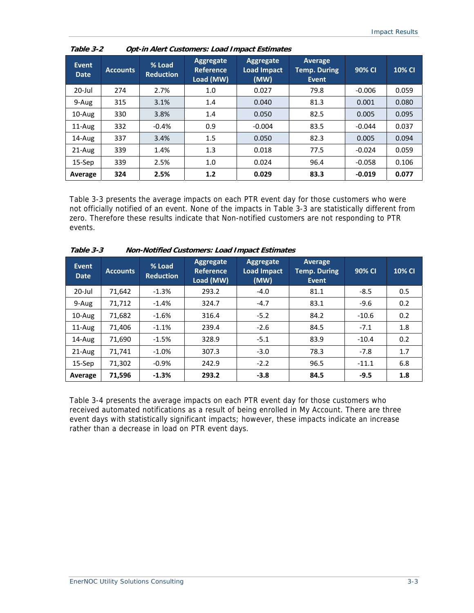| <b>Event</b><br><b>Date</b> | <b>Accounts</b> | % Load<br><b>Reduction</b> | Aggregate<br><b>Reference</b><br>Load (MW) | Aggregate<br><b>Load Impact</b><br>(MW) | <b>Average</b><br><b>Temp. During</b><br>Event | 90% CI   | 10% CI |
|-----------------------------|-----------------|----------------------------|--------------------------------------------|-----------------------------------------|------------------------------------------------|----------|--------|
| $20$ -Jul                   | 274             | 2.7%                       | 1.0                                        | 0.027                                   | 79.8                                           | $-0.006$ | 0.059  |
| 9-Aug                       | 315             | 3.1%                       | 1.4                                        | 0.040                                   | 81.3                                           | 0.001    | 0.080  |
| 10-Aug                      | 330             | 3.8%                       | 1.4                                        | 0.050                                   | 82.5                                           | 0.005    | 0.095  |
| $11$ -Aug                   | 332             | $-0.4%$                    | 0.9                                        | $-0.004$                                | 83.5                                           | $-0.044$ | 0.037  |
| 14-Aug                      | 337             | 3.4%                       | 1.5                                        | 0.050                                   | 82.3                                           | 0.005    | 0.094  |
| 21-Aug                      | 339             | 1.4%                       | 1.3                                        | 0.018                                   | 77.5                                           | $-0.024$ | 0.059  |
| $15-$ Sep                   | 339             | 2.5%                       | 1.0                                        | 0.024                                   | 96.4                                           | $-0.058$ | 0.106  |
| Average                     | 324             | 2.5%                       | 1.2                                        | 0.029                                   | 83.3                                           | $-0.019$ | 0.077  |

**Table 3-2 Opt-in Alert Customers: Load Impact Estimates** 

Table 3-3 presents the average impacts on each PTR event day for those customers who were not officially notified of an event. None of the impacts in Table 3-3 are statistically different from zero. Therefore these results indicate that Non-notified customers are not responding to PTR events.

| Event<br><b>Date</b> | <b>Accounts</b> | % Load<br><b>Reduction</b> | Aggregate<br><b>Reference</b><br>Load (MW) | Aggregate<br>Load Impact<br>(MW) | Average<br><b>Temp. During</b><br><b>Event</b> | 90% CI  | <b>10% CI</b> |
|----------------------|-----------------|----------------------------|--------------------------------------------|----------------------------------|------------------------------------------------|---------|---------------|
| $20$ -Jul            | 71,642          | $-1.3%$                    | 293.2                                      | $-4.0$                           | 81.1                                           | $-8.5$  | 0.5           |
| 9-Aug                | 71,712          | $-1.4%$                    | 324.7                                      | $-4.7$                           | 83.1                                           | $-9.6$  | 0.2           |
| 10-Aug               | 71,682          | $-1.6%$                    | 316.4                                      | $-5.2$                           | 84.2                                           | $-10.6$ | 0.2           |
| $11-Au$ g            | 71,406          | $-1.1%$                    | 239.4                                      | $-2.6$                           | 84.5                                           | $-7.1$  | 1.8           |
| 14-Aug               | 71,690          | $-1.5%$                    | 328.9                                      | $-5.1$                           | 83.9                                           | $-10.4$ | 0.2           |
| $21-Aug$             | 71,741          | $-1.0%$                    | 307.3                                      | $-3.0$                           | 78.3                                           | $-7.8$  | 1.7           |
| $15-$ Sep            | 71,302          | $-0.9%$                    | 242.9                                      | $-2.2$                           | 96.5                                           | $-11.1$ | 6.8           |
| Average              | 71,596          | $-1.3%$                    | 293.2                                      | $-3.8$                           | 84.5                                           | $-9.5$  | 1.8           |

**Table 3-3 Non-Notified Customers: Load Impact Estimates** 

Table 3-4 presents the average impacts on each PTR event day for those customers who received automated notifications as a result of being enrolled in My Account. There are three event days with statistically significant impacts; however, these impacts indicate an increase rather than a decrease in load on PTR event days.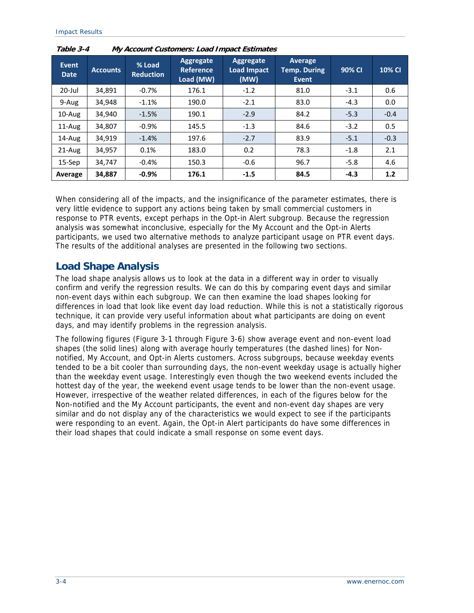| <b>Event</b><br><b>Date</b> | <b>Accounts</b> | % Load<br><b>Reduction</b> | Aggregate<br><b>Reference</b><br>Load (MW) | Aggregate<br><b>Load Impact</b><br>(MW) | Average<br><b>Temp. During</b><br><b>Event</b> | 90% CI | <b>10% CI</b> |
|-----------------------------|-----------------|----------------------------|--------------------------------------------|-----------------------------------------|------------------------------------------------|--------|---------------|
| $20$ -Jul                   | 34,891          | $-0.7%$                    | 176.1                                      | $-1.2$                                  | 81.0                                           | $-3.1$ | 0.6           |
| 9-Aug                       | 34,948          | $-1.1%$                    | 190.0                                      | $-2.1$                                  | 83.0                                           | $-4.3$ | 0.0           |
| $10$ -Aug                   | 34,940          | $-1.5%$                    | 190.1                                      | $-2.9$                                  | 84.2                                           | $-5.3$ | $-0.4$        |
| 11-Aug                      | 34,807          | $-0.9%$                    | 145.5                                      | $-1.3$                                  | 84.6                                           | $-3.2$ | 0.5           |
| 14-Aug                      | 34,919          | $-1.4%$                    | 197.6                                      | $-2.7$                                  | 83.9                                           | $-5.1$ | $-0.3$        |
| 21-Aug                      | 34,957          | 0.1%                       | 183.0                                      | 0.2                                     | 78.3                                           | $-1.8$ | 2.1           |
| $15-$ Sep                   | 34,747          | $-0.4%$                    | 150.3                                      | $-0.6$                                  | 96.7                                           | $-5.8$ | 4.6           |
| Average                     | 34,887          | $-0.9%$                    | 176.1                                      | $-1.5$                                  | 84.5                                           | $-4.3$ | 1.2           |

**Table 3-4 My Account Customers: Load Impact Estimates** 

When considering all of the impacts, and the insignificance of the parameter estimates, there is very little evidence to support any actions being taken by small commercial customers in response to PTR events, except perhaps in the Opt-in Alert subgroup. Because the regression analysis was somewhat inconclusive, especially for the My Account and the Opt-in Alerts participants, we used two alternative methods to analyze participant usage on PTR event days. The results of the additional analyses are presented in the following two sections.

### **Load Shape Analysis**

The load shape analysis allows us to look at the data in a different way in order to visually confirm and verify the regression results. We can do this by comparing event days and similar non-event days within each subgroup. We can then examine the load shapes looking for differences in load that look like event day load reduction. While this is not a statistically rigorous technique, it can provide very useful information about what participants are doing on event days, and may identify problems in the regression analysis.

The following figures (Figure 3-1 through Figure 3-6) show average event and non-event load shapes (the solid lines) along with average hourly temperatures (the dashed lines) for Nonnotified, My Account, and Opt-in Alerts customers. Across subgroups, because weekday events tended to be a bit cooler than surrounding days, the non-event weekday usage is actually higher than the weekday event usage. Interestingly even though the two weekend events included the hottest day of the year, the weekend event usage tends to be lower than the non-event usage. However, irrespective of the weather related differences, in each of the figures below for the Non-notified and the My Account participants, the event and non-event day shapes are very similar and do not display any of the characteristics we would expect to see if the participants were responding to an event. Again, the Opt-in Alert participants do have some differences in their load shapes that could indicate a small response on some event days.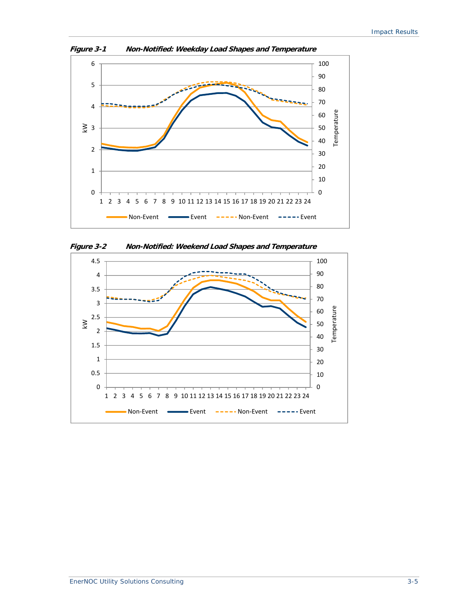

**Figure 3-1 Non-Notified: Weekday Load Shapes and Temperature** 



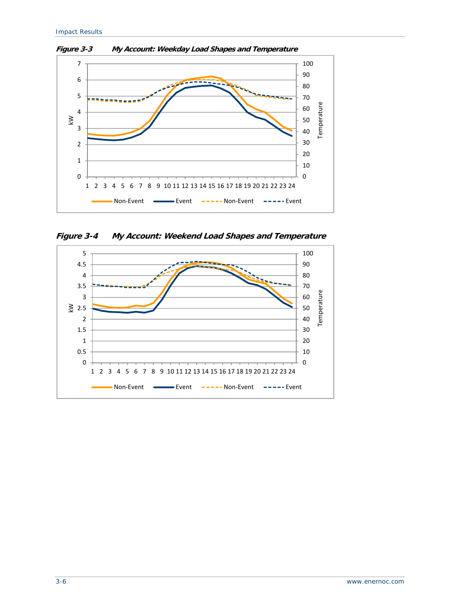

**Figure 3-3 My Account: Weekday Load Shapes and Temperature** 

**Figure 3-4 My Account: Weekend Load Shapes and Temperature** 

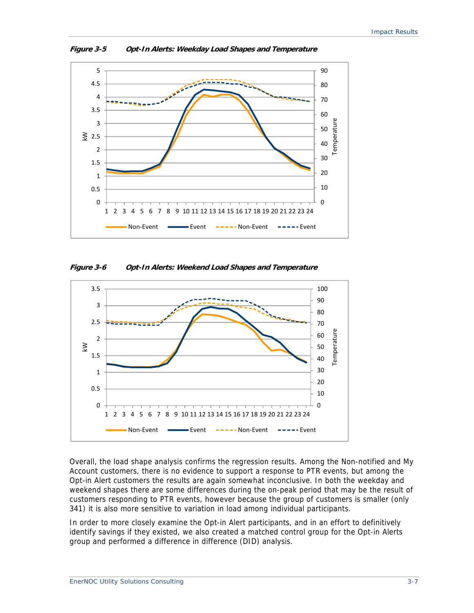

**Figure 3-5 Opt-In Alerts: Weekday Load Shapes and Temperature** 

**Figure 3-6 Opt-In Alerts: Weekend Load Shapes and Temperature** 



Overall, the load shape analysis confirms the regression results. Among the Non-notified and My Account customers, there is no evidence to support a response to PTR events, but among the Opt-in Alert customers the results are again somewhat inconclusive. In both the weekday and weekend shapes there are some differences during the on-peak period that may be the result of customers responding to PTR events, however because the group of customers is smaller (only 341) it is also more sensitive to variation in load among individual participants.

In order to more closely examine the Opt-in Alert participants, and in an effort to definitively identify savings if they existed, we also created a matched control group for the Opt-in Alerts group and performed a difference in difference (DID) analysis.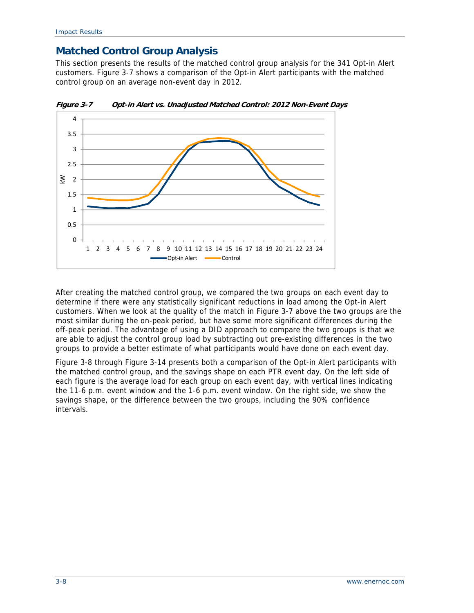## **Matched Control Group Analysis**

This section presents the results of the matched control group analysis for the 341 Opt-in Alert customers. Figure 3-7 shows a comparison of the Opt-in Alert participants with the matched control group on an average non-event day in 2012.



**Figure 3-7 Opt-in Alert vs. Unadjusted Matched Control: 2012 Non-Event Days** 

After creating the matched control group, we compared the two groups on each event day to determine if there were any statistically significant reductions in load among the Opt-in Alert customers. When we look at the quality of the match in Figure 3-7 above the two groups are the most similar during the on-peak period, but have some more significant differences during the off-peak period. The advantage of using a DID approach to compare the two groups is that we are able to adjust the control group load by subtracting out pre-existing differences in the two groups to provide a better estimate of what participants would have done on each event day.

Figure 3-8 through Figure 3-14 presents both a comparison of the Opt-in Alert participants with the matched control group, and the savings shape on each PTR event day. On the left side of each figure is the average load for each group on each event day, with vertical lines indicating the 11-6 p.m. event window and the 1-6 p.m. event window. On the right side, we show the savings shape, or the difference between the two groups, including the 90% confidence intervals.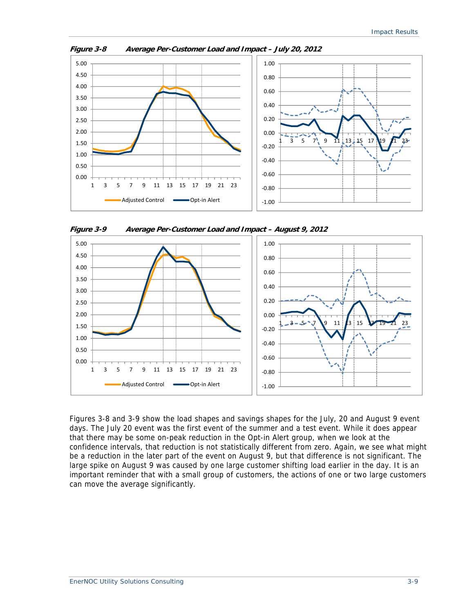

**Figure 3-8 Average Per-Customer Load and Impact – July 20, 2012** 

**Figure 3-9 Average Per-Customer Load and Impact – August 9, 2012** 



Figures 3-8 and 3-9 show the load shapes and savings shapes for the July, 20 and August 9 event days. The July 20 event was the first event of the summer and a test event. While it does appear that there may be some on-peak reduction in the Opt-in Alert group, when we look at the confidence intervals, that reduction is not statistically different from zero. Again, we see what might be a reduction in the later part of the event on August 9, but that difference is not significant. The large spike on August 9 was caused by one large customer shifting load earlier in the day. It is an important reminder that with a small group of customers, the actions of one or two large customers can move the average significantly.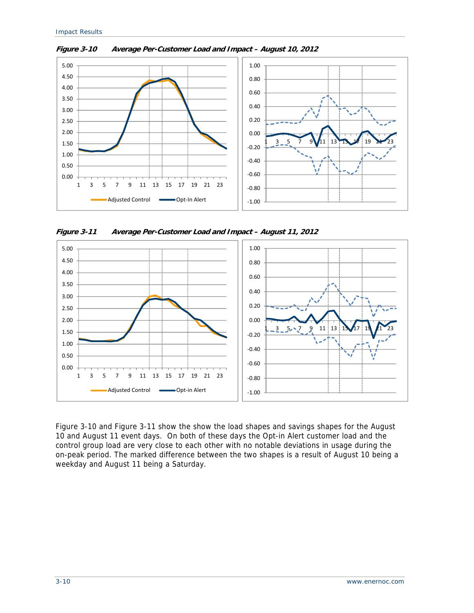

**Figure 3-10 Average Per-Customer Load and Impact – August 10, 2012** 

**Figure 3-11 Average Per-Customer Load and Impact – August 11, 2012** 



Figure 3-10 and Figure 3-11 show the show the load shapes and savings shapes for the August 10 and August 11 event days. On both of these days the Opt-in Alert customer load and the control group load are very close to each other with no notable deviations in usage during the on-peak period. The marked difference between the two shapes is a result of August 10 being a weekday and August 11 being a Saturday.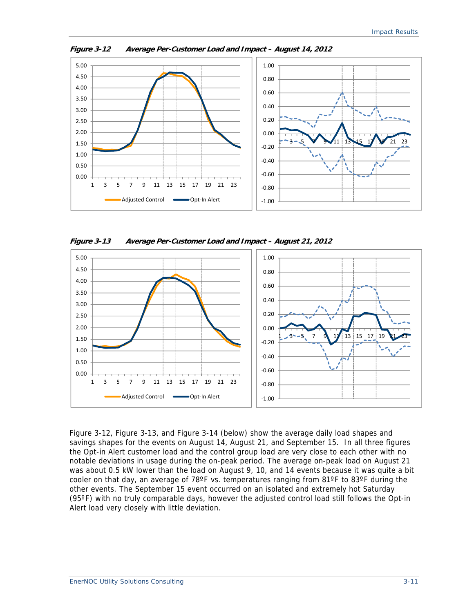

**Figure 3-12 Average Per-Customer Load and Impact – August 14, 2012** 

**Figure 3-13 Average Per-Customer Load and Impact – August 21, 2012** 



Figure 3-12, Figure 3-13, and Figure 3-14 (below) show the average daily load shapes and savings shapes for the events on August 14, August 21, and September 15. In all three figures the Opt-in Alert customer load and the control group load are very close to each other with no notable deviations in usage during the on-peak period. The average on-peak load on August 21 was about 0.5 kW lower than the load on August 9, 10, and 14 events because it was quite a bit cooler on that day, an average of 78ºF vs. temperatures ranging from 81ºF to 83ºF during the other events. The September 15 event occurred on an isolated and extremely hot Saturday (95ºF) with no truly comparable days, however the adjusted control load still follows the Opt-in Alert load very closely with little deviation.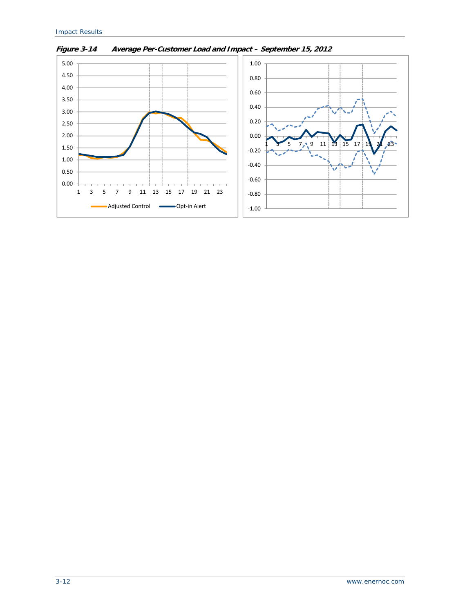

**Figure 3-14 Average Per-Customer Load and Impact – September 15, 2012**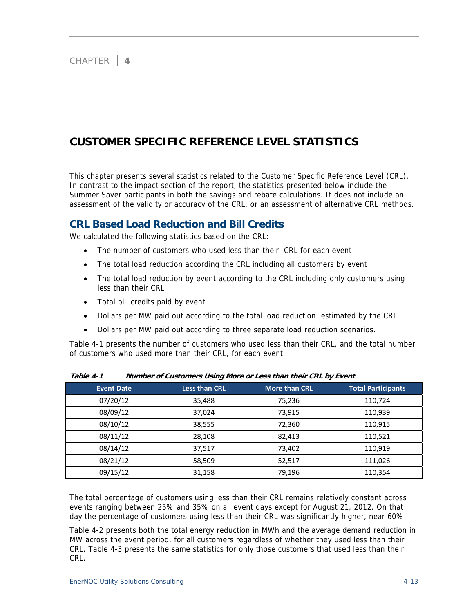# **CUSTOMER SPECIFIC REFERENCE LEVEL STATISTICS**

This chapter presents several statistics related to the Customer Specific Reference Level (CRL). In contrast to the impact section of the report, the statistics presented below include the Summer Saver participants in both the savings and rebate calculations. It does not include an assessment of the validity or accuracy of the CRL, or an assessment of alternative CRL methods.

## **CRL Based Load Reduction and Bill Credits**

We calculated the following statistics based on the CRL:

- The number of customers who used less than their CRL for each event
- The total load reduction according the CRL including all customers by event
- The total load reduction by event according to the CRL including only customers using less than their CRL
- Total bill credits paid by event
- Dollars per MW paid out according to the total load reduction estimated by the CRL
- Dollars per MW paid out according to three separate load reduction scenarios.

Table 4-1 presents the number of customers who used less than their CRL, and the total number of customers who used more than their CRL, for each event.

| <b>Event Date</b> | <b>Less than CRL</b> | <b>More than CRL</b> | <b>Total Participants</b> |
|-------------------|----------------------|----------------------|---------------------------|
| 07/20/12          | 35,488               | 75,236               | 110,724                   |
| 08/09/12          | 37,024               | 73,915               | 110,939                   |
| 08/10/12          | 38,555               | 72,360               | 110,915                   |
| 08/11/12          | 28,108               | 82,413               | 110,521                   |
| 08/14/12          | 37,517               | 73,402               | 110,919                   |
| 08/21/12          | 58,509               | 52,517               | 111,026                   |
| 09/15/12          | 31,158               | 79,196               | 110,354                   |

**Table 4-1 Number of Customers Using More or Less than their CRL by Event** 

The total percentage of customers using less than their CRL remains relatively constant across events ranging between 25% and 35% on all event days except for August 21, 2012. On that day the percentage of customers using less than their CRL was significantly higher, near 60%.

Table 4-2 presents both the total energy reduction in MWh and the average demand reduction in MW across the event period, for all customers regardless of whether they used less than their CRL. Table 4-3 presents the same statistics for only those customers that used less than their CRL.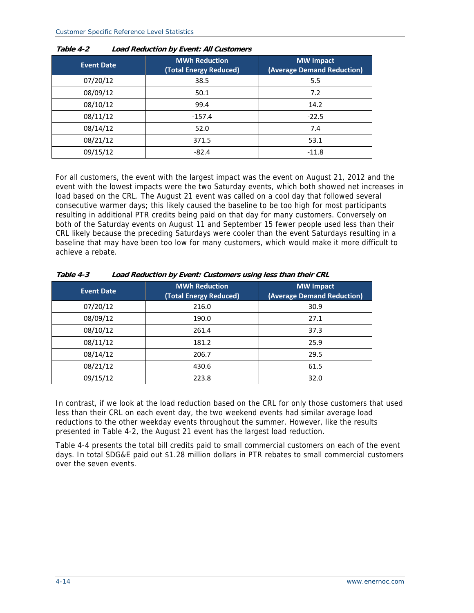| <b>Event Date</b> | <b>MWh Reduction</b><br>(Total Energy Reduced) | <b>MW</b> Impact<br>(Average Demand Reduction) |
|-------------------|------------------------------------------------|------------------------------------------------|
| 07/20/12          | 38.5                                           | 5.5                                            |
| 08/09/12          | 50.1                                           | 7.2                                            |
| 08/10/12          | 99.4                                           | 14.2                                           |
| 08/11/12          | $-157.4$                                       | $-22.5$                                        |
| 08/14/12          | 52.0                                           | 7.4                                            |
| 08/21/12          | 371.5                                          | 53.1                                           |
| 09/15/12          | $-82.4$                                        | $-11.8$                                        |

| Table 4-2 | <b>Load Reduction by Event: All Customers</b> |
|-----------|-----------------------------------------------|
|           |                                               |

For all customers, the event with the largest impact was the event on August 21, 2012 and the event with the lowest impacts were the two Saturday events, which both showed net increases in load based on the CRL. The August 21 event was called on a cool day that followed several consecutive warmer days; this likely caused the baseline to be too high for most participants resulting in additional PTR credits being paid on that day for many customers. Conversely on both of the Saturday events on August 11 and September 15 fewer people used less than their CRL likely because the preceding Saturdays were cooler than the event Saturdays resulting in a baseline that may have been too low for many customers, which would make it more difficult to achieve a rebate.

| <b>Event Date</b> | <b>MWh Reduction</b><br>(Total Energy Reduced) | <b>MW</b> Impact<br>(Average Demand Reduction) |
|-------------------|------------------------------------------------|------------------------------------------------|
| 07/20/12          | 216.0                                          | 30.9                                           |
| 08/09/12          | 190.0                                          | 27.1                                           |
| 08/10/12          | 261.4                                          | 37.3                                           |
| 08/11/12          | 181.2                                          | 25.9                                           |
| 08/14/12          | 206.7                                          | 29.5                                           |
| 08/21/12          | 430.6                                          | 61.5                                           |
| 09/15/12          | 223.8                                          | 32.0                                           |

**Table 4-3 Load Reduction by Event: Customers using less than their CRL** 

In contrast, if we look at the load reduction based on the CRL for only those customers that used less than their CRL on each event day, the two weekend events had similar average load reductions to the other weekday events throughout the summer. However, like the results presented in Table 4-2, the August 21 event has the largest load reduction.

Table 4-4 presents the total bill credits paid to small commercial customers on each of the event days. In total SDG&E paid out \$1.28 million dollars in PTR rebates to small commercial customers over the seven events.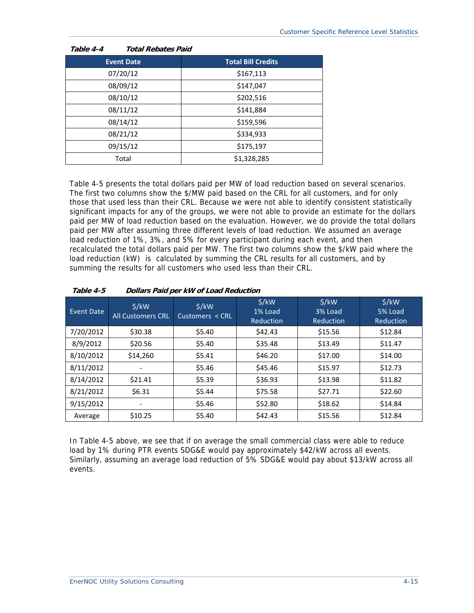| Table 4-4<br><b>Total Rebates Paid</b> |                           |
|----------------------------------------|---------------------------|
| <b>Event Date</b>                      | <b>Total Bill Credits</b> |
| 07/20/12                               | \$167,113                 |
| 08/09/12                               | \$147,047                 |
| 08/10/12                               | \$202,516                 |
| 08/11/12                               | \$141,884                 |
| 08/14/12                               | \$159,596                 |
| 08/21/12                               | \$334,933                 |
| 09/15/12                               | \$175,197                 |
| Total                                  | \$1,328,285               |

Table 4-5 presents the total dollars paid per MW of load reduction based on several scenarios. The first two columns show the \$/MW paid based on the CRL for all customers, and for only those that used less than their CRL. Because we were not able to identify consistent statistically significant impacts for any of the groups, we were not able to provide an estimate for the dollars paid per MW of load reduction based on the evaluation. However, we do provide the total dollars paid per MW after assuming three different levels of load reduction. We assumed an average load reduction of 1%, 3%, and 5% for every participant during each event, and then recalculated the total dollars paid per MW. The first two columns show the \$/kW paid where the load reduction (kW) is calculated by summing the CRL results for all customers, and by summing the results for all customers who used less than their CRL.

| Event Date | $\frac{1}{2}$ /kW<br><b>All Customers CRL</b> | \$/kW<br>Customers < CRL | S/KW<br>1% Load<br>Reduction | \$/kW<br>3% Load<br>Reduction | \$/kW<br>5% Load<br>Reduction |
|------------|-----------------------------------------------|--------------------------|------------------------------|-------------------------------|-------------------------------|
| 7/20/2012  | \$30.38                                       | \$5.40                   | \$42.43                      | \$15.56                       | \$12.84                       |
| 8/9/2012   | \$20.56                                       | \$5.40                   | \$35.48                      | \$13.49                       | \$11.47                       |
| 8/10/2012  | \$14,260                                      | \$5.41                   | \$46.20                      | \$17.00                       | \$14.00                       |
| 8/11/2012  |                                               | \$5.46                   | \$45.46                      | \$15.97                       | \$12.73                       |
| 8/14/2012  | \$21.41                                       | \$5.39                   | \$36.93                      | \$13.98                       | \$11.82                       |
| 8/21/2012  | \$6.31                                        | \$5.44                   | \$75.58                      | \$27.71                       | \$22.60                       |
| 9/15/2012  |                                               | \$5.46                   | \$52.80                      | \$18.62                       | \$14.84                       |
| Average    | \$10.25                                       | \$5.40                   | \$42.43                      | \$15.56                       | \$12.84                       |

#### **Table 4-5 Dollars Paid per kW of Load Reduction**

In Table 4-5 above, we see that if on average the small commercial class were able to reduce load by 1% during PTR events SDG&E would pay approximately \$42/kW across all events. Similarly, assuming an average load reduction of 5% SDG&E would pay about \$13/kW across all events.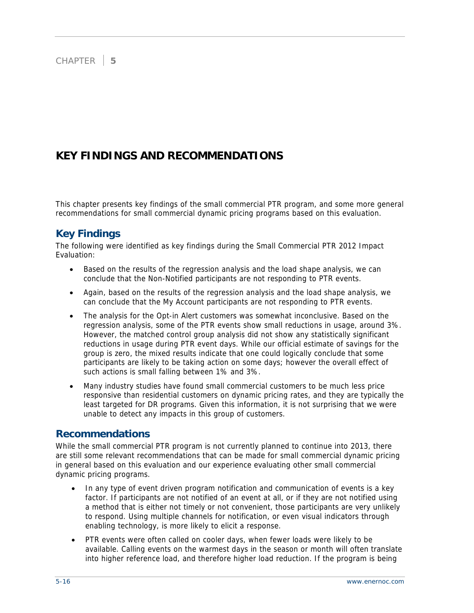## **KEY FINDINGS AND RECOMMENDATIONS**

This chapter presents key findings of the small commercial PTR program, and some more general recommendations for small commercial dynamic pricing programs based on this evaluation.

## **Key Findings**

The following were identified as key findings during the Small Commercial PTR 2012 Impact Evaluation:

- Based on the results of the regression analysis and the load shape analysis, we can conclude that the Non-Notified participants are not responding to PTR events.
- Again, based on the results of the regression analysis and the load shape analysis, we can conclude that the My Account participants are not responding to PTR events.
- The analysis for the Opt-in Alert customers was somewhat inconclusive. Based on the regression analysis, some of the PTR events show small reductions in usage, around 3%. However, the matched control group analysis did not show any statistically significant reductions in usage during PTR event days. While our official estimate of savings for the group is zero, the mixed results indicate that one could logically conclude that some participants are likely to be taking action on some days; however the overall effect of such actions is small falling between 1% and 3%.
- Many industry studies have found small commercial customers to be much less price responsive than residential customers on dynamic pricing rates, and they are typically the least targeted for DR programs. Given this information, it is not surprising that we were unable to detect any impacts in this group of customers.

### **Recommendations**

While the small commercial PTR program is not currently planned to continue into 2013, there are still some relevant recommendations that can be made for small commercial dynamic pricing in general based on this evaluation and our experience evaluating other small commercial dynamic pricing programs.

- In any type of event driven program notification and communication of events is a key factor. If participants are not notified of an event at all, or if they are not notified using a method that is either not timely or not convenient, those participants are very unlikely to respond. Using multiple channels for notification, or even visual indicators through enabling technology, is more likely to elicit a response.
- PTR events were often called on cooler days, when fewer loads were likely to be available. Calling events on the warmest days in the season or month will often translate into higher reference load, and therefore higher load reduction. If the program is being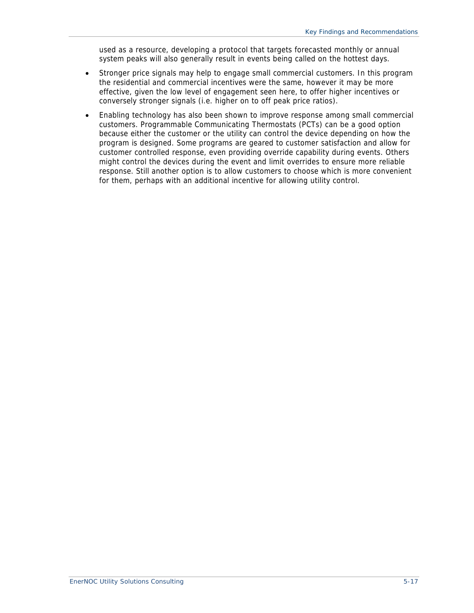used as a resource, developing a protocol that targets forecasted monthly or annual system peaks will also generally result in events being called on the hottest days.

- Stronger price signals may help to engage small commercial customers. In this program the residential and commercial incentives were the same, however it may be more effective, given the low level of engagement seen here, to offer higher incentives or conversely stronger signals (i.e. higher on to off peak price ratios).
- Enabling technology has also been shown to improve response among small commercial customers. Programmable Communicating Thermostats (PCTs) can be a good option because either the customer or the utility can control the device depending on how the program is designed. Some programs are geared to customer satisfaction and allow for customer controlled response, even providing override capability during events. Others might control the devices during the event and limit overrides to ensure more reliable response. Still another option is to allow customers to choose which is more convenient for them, perhaps with an additional incentive for allowing utility control.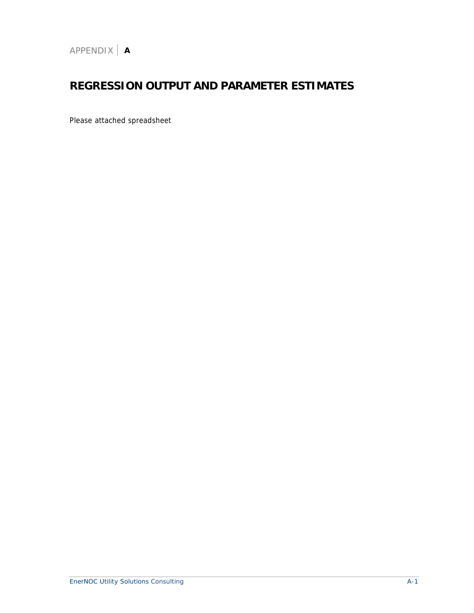# **REGRESSION OUTPUT AND PARAMETER ESTIMATES**

Please attached spreadsheet